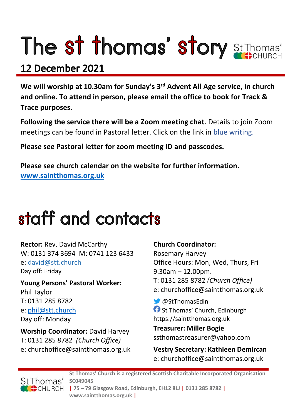# The st thomas' story St Thomas'

# 12 December 2021

**We will worship at 10.30am for Sunday's 3rd Advent All Age service, in church and online. To attend in person, please email the office to book for Track & Trace purposes.**

**Following the service there will be a Zoom meeting chat**. Details to join Zoom meetings can be found in Pastoral letter. Click on the link in blue writing.

**Please see Pastoral letter for zoom meeting ID and passcodes.**

**Please see church calendar on the website for further information. [www.saintthomas.org.uk](http://www.saintthomas.org.uk/)**

# staff and contacts

**Rector:** Rev. David McCarthy W: 0131 374 3694 M: 0741 123 6433 e: david@stt.church Day off: Friday

**Young Persons' Pastoral Worker:** Phil Taylor T: 0131 285 8782 e: [phil@stt.church](mailto:phil@stt.church) Day off: Monday

**Worship Coordinator:** David Harvey T: 0131 285 8782 *(Church Office)* e: churchoffice@saintthomas.org.uk

### **Church Coordinator:**

Rosemary Harvey Office Hours: Mon, Wed, Thurs, Fri 9.30am – 12.00pm. T: 0131 285 8782 *(Church Office)* e: churchoffice@saintthomas.org.uk

@StThomasEdin **f** St Thomas' Church, Edinburgh https://saintthomas.org.uk

**Treasurer: Miller Bogie** ssthomastreasurer@yahoo.com

**Vestry Secretary: Kathleen Demircan**  e: churchoffice@saintthomas.org.uk



**St Thomas' Church is a registered Scottish Charitable Incorporated Organisation SC049045 | 75 – 79 Glasgow Road, Edinburgh, EH12 8LJ | 0131 285 8782 | www.saintthomas.org.uk |**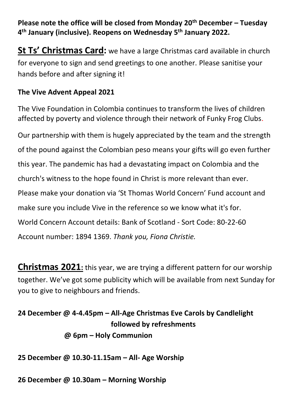**Please note the office will be closed from Monday 20th December – Tuesday 4 th January (inclusive). Reopens on Wednesday 5th January 2022.**

**St Ts' Christmas Card:** we have a large Christmas card available in church for everyone to sign and send greetings to one another. Please sanitise your hands before and after signing it!

## **The Vive Advent Appeal 2021**

The Vive Foundation in Colombia continues to transform the lives of children affected by poverty and violence through their network of Funky Frog Clubs.

Our partnership with them is hugely appreciated by the team and the strength of the pound against the Colombian peso means your gifts will go even further this year. The pandemic has had a devastating impact on Colombia and the church's witness to the hope found in Christ is more relevant than ever. Please make your donation via 'St Thomas World Concern' Fund account and make sure you include Vive in the reference so we know what it's for. World Concern Account details: Bank of Scotland - Sort Code: 80-22-60 Account number: 1894 1369. *Thank you, Fiona Christie.*

**Christmas 2021:** this year, we are trying a different pattern for our worship together. We've got some publicity which will be available from next Sunday for you to give to neighbours and friends.

# **24 December @ 4-4.45pm – All-Age Christmas Eve Carols by Candlelight followed by refreshments @ 6pm – Holy Communion**

**25 December @ 10.30-11.15am – All- Age Worship**

**26 December @ 10.30am – Morning Worship**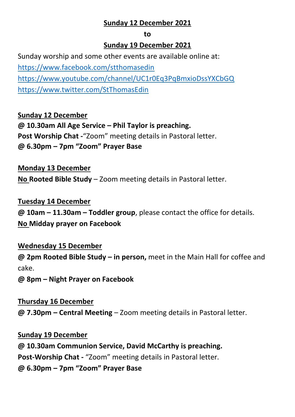### **Sunday 12 December 2021**

#### **to**

#### **Sunday 19 December 2021**

Sunday worship and some other events are available online at: <https://www.facebook.com/stthomasedin> <https://www.youtube.com/channel/UC1r0Eq3PqBmxioDssYXCbGQ> <https://www.twitter.com/StThomasEdin>

**Sunday 12 December @ 10.30am All Age Service – Phil Taylor is preaching. Post Worship Chat -**"Zoom" meeting details in Pastoral letter. **@ 6.30pm – 7pm "Zoom" Prayer Base**

**Monday 13 December No Rooted Bible Study** – Zoom meeting details in Pastoral letter.

**Tuesday 14 December @ 10am – 11.30am – Toddler group**, please contact the office for details. **No Midday prayer on Facebook**

**Wednesday 15 December @ 2pm Rooted Bible Study – in person,** meet in the Main Hall for coffee and

cake.

**@ 8pm – Night Prayer on Facebook** 

**Thursday 16 December @ 7.30pm – Central Meeting** – Zoom meeting details in Pastoral letter.

**Sunday 19 December @ 10.30am Communion Service, David McCarthy is preaching. Post-Worship Chat -** "Zoom" meeting details in Pastoral letter. **@ 6.30pm – 7pm "Zoom" Prayer Base**